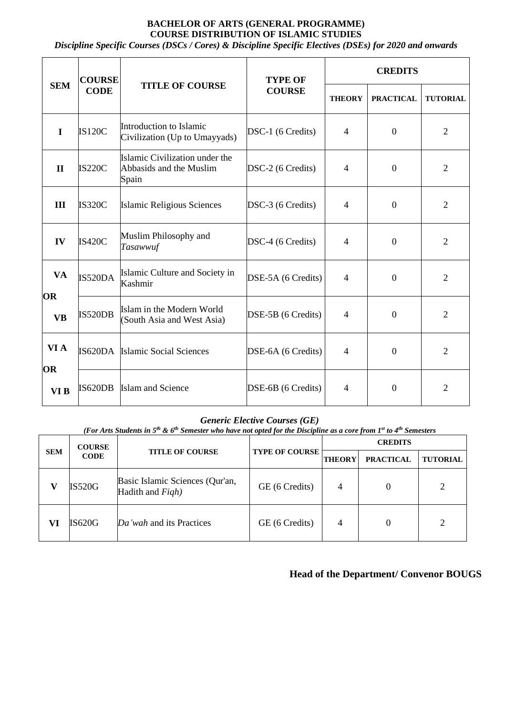# **BACHELOR OF ARTS (GENERAL PROGRAMME) COURSE DISTRIBUTION OF ISLAMIC STUDIES**

*Discipline Specific Courses (DSCs / Cores) & Discipline Specific Electives (DSEs) for 2020 and onwards*

| <b>SEM</b>             | <b>COURSE</b><br><b>CODE</b> | <b>TITLE OF COURSE</b>                                             | <b>TYPE OF</b><br><b>COURSE</b> | <b>CREDITS</b> |                  |                 |
|------------------------|------------------------------|--------------------------------------------------------------------|---------------------------------|----------------|------------------|-----------------|
|                        |                              |                                                                    |                                 | <b>THEORY</b>  | <b>PRACTICAL</b> | <b>TUTORIAL</b> |
| $\mathbf I$            | <b>IS120C</b>                | Introduction to Islamic<br>Civilization (Up to Umayyads)           | DSC-1 (6 Credits)               | 4              | $\mathbf{0}$     | $\overline{2}$  |
| $\mathbf{I}$           | <b>IS220C</b>                | Islamic Civilization under the<br>Abbasids and the Muslim<br>Spain | DSC-2 (6 Credits)               | $\overline{4}$ | $\mathbf{0}$     | $\overline{2}$  |
| III                    | <b>IS320C</b>                | <b>Islamic Religious Sciences</b>                                  | DSC-3 (6 Credits)               | $\overline{4}$ | $\mathbf{0}$     | $\overline{2}$  |
| IV                     | <b>IS420C</b>                | Muslim Philosophy and<br>Tasawwuf                                  | DSC-4 (6 Credits)               | 4              | $\overline{0}$   | $\overline{2}$  |
| <b>VA</b>              | <b>IS520DA</b>               | Islamic Culture and Society in<br>Kashmir                          | DSE-5A (6 Credits)              | 4              | $\mathbf{0}$     | $\overline{2}$  |
| <b>OR</b><br><b>VB</b> | <b>IS520DB</b>               | Islam in the Modern World<br>(South Asia and West Asia)            | DSE-5B (6 Credits)              | 4              | $\mathbf{0}$     | $\overline{2}$  |
| VI A<br>OR             | IS620DA                      | Islamic Social Sciences                                            | DSE-6A (6 Credits)              | $\overline{4}$ | $\overline{0}$   | $\overline{2}$  |
| VI B                   | IS620DB                      | <b>Islam and Science</b>                                           | DSE-6B (6 Credits)              | $\overline{4}$ | $\overline{0}$   | $\overline{2}$  |

### *Generic Elective Courses (GE)*

*(For Arts Students in 5th & 6th Semester who have not opted for the Discipline as a core from 1st to 4th Semesters*

| <b>SEM</b> | <b>COURSE</b><br><b>CODE</b> | <b>TITLE OF COURSE</b>                              | <b>TYPE OF COURSE</b> | <b>CREDITS</b> |                  |                 |
|------------|------------------------------|-----------------------------------------------------|-----------------------|----------------|------------------|-----------------|
|            |                              |                                                     |                       | <b>THEORY</b>  | <b>PRACTICAL</b> | <b>TUTORIAL</b> |
|            | <b>IS520G</b>                | Basic Islamic Sciences (Qur'an,<br>Hadith and Figh) | GE (6 Credits)        | 4              |                  | $\overline{2}$  |
| VI         | IS620G                       | Da'wah and its Practices                            | GE (6 Credits)        | 4              |                  | $\overline{2}$  |

# **Head of the Department/ Convenor BOUGS**